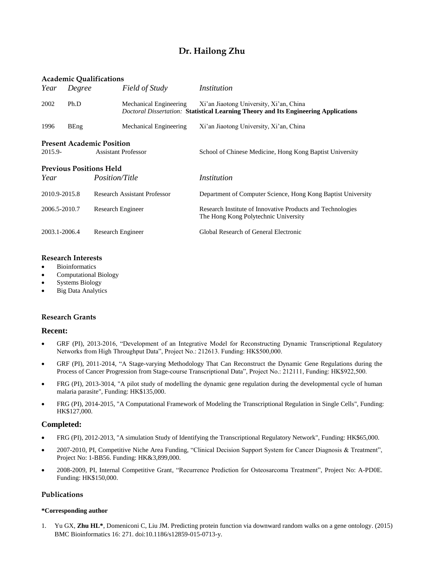# **Dr. Hailong Zhu**

|                                                                           |        | <b>Academic Qualifications</b> |                                     |                                                                                                                                       |
|---------------------------------------------------------------------------|--------|--------------------------------|-------------------------------------|---------------------------------------------------------------------------------------------------------------------------------------|
| Year                                                                      | Degree |                                | Field of Study                      | Institution                                                                                                                           |
| 2002                                                                      | Ph.D   |                                | Mechanical Engineering              | Xi'an Jiaotong University, Xi'an, China<br><b>Doctoral Dissertation: Statistical Learning Theory and Its Engineering Applications</b> |
| 1996                                                                      | BEng   |                                | Mechanical Engineering              | Xi'an Jiaotong University, Xi'an, China                                                                                               |
| <b>Present Academic Position</b><br><b>Assistant Professor</b><br>2015.9- |        |                                |                                     | School of Chinese Medicine, Hong Kong Baptist University                                                                              |
|                                                                           |        | <b>Previous Positions Held</b> |                                     |                                                                                                                                       |
| Year                                                                      |        | <i>Position/Title</i>          |                                     | Institution                                                                                                                           |
| 2010.9-2015.8                                                             |        |                                | <b>Research Assistant Professor</b> | Department of Computer Science, Hong Kong Baptist University                                                                          |
| 2006.5-2010.7                                                             |        | Research Engineer              |                                     | Research Institute of Innovative Products and Technologies<br>The Hong Kong Polytechnic University                                    |
| 2003.1-2006.4                                                             |        | Research Engineer              |                                     | Global Research of General Electronic                                                                                                 |

## **Research Interests**

- Bioinformatics
- Computational Biology
- Systems Biology
- Big Data Analytics

#### **Research Grants**

#### **Recent:**

- GRF (PI), 2013-2016, "Development of an Integrative Model for Reconstructing Dynamic Transcriptional Regulatory Networks from High Throughput Data", Project No.: 212613. Funding: HK\$500,000.
- GRF (PI), 2011-2014, "A Stage-varying Methodology That Can Reconstruct the Dynamic Gene Regulations during the Process of Cancer Progression from Stage-course Transcriptional Data", Project No.: 212111, Funding: HK\$922,500.
- FRG (PI), 2013-3014, "A pilot study of modelling the dynamic gene regulation during the developmental cycle of human malaria parasite", Funding: HK\$135,000.
- FRG (PI), 2014-2015, "A Computational Framework of Modeling the Transcriptional Regulation in Single Cells", Funding: HK\$127,000.

## **Completed:**

- FRG (PI), 2012-2013, "A simulation Study of Identifying the Transcriptional Regulatory Network", Funding: HK\$65,000.
- 2007-2010, PI, Competitive Niche Area Funding, "Clinical Decision Support System for Cancer Diagnosis & Treatment", Project No: 1-BB56. Funding: HK&3,899,000.
- 2008-2009, PI, Internal Competitive Grant, "Recurrence Prediction for Osteosarcoma Treatment", Project No: A-PD0E. Funding: HK\$150,000.

#### **Publications**

### **\*Corresponding author**

1. Yu [GX,](http://dblp.uni-trier.de/pers/hd/y/Yu:Guo=Xian) **Zhu HL\***, [Domeniconi](http://dblp.uni-trier.de/pers/hd/d/Domeniconi:Carlotta) C, [Liu](http://dblp.uni-trier.de/pers/hd/l/Liu:Jiming) JM. Predicting protein function via downward random walks on a gene ontology. (2015) [BMC Bioinformatics 16:](http://dblp.uni-trier.de/db/journals/bmcbi/bmcbi16.html#YuZDL15) 271. doi:10.1186/s12859-015-0713-y.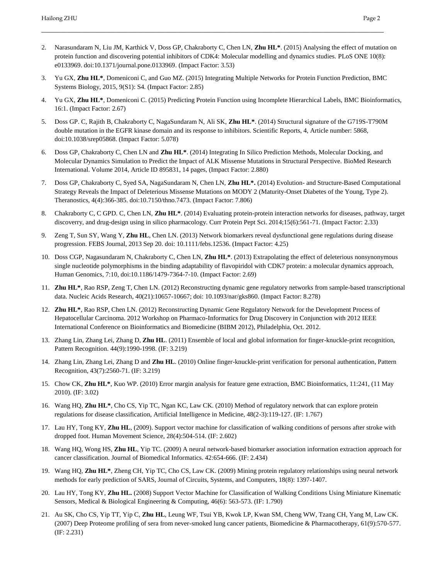- 2. Narasundaram N, Liu JM, Karthick V, Doss GP, Chakraborty C, Chen LN, **Zhu HL\***. (2015) Analysing the effect of mutation on protein function and discovering potential inhibitors of CDK4: Molecular modelling and dynamics studies. PLoS ONE 10(8): e0133969. doi:10.1371/journal.pone.0133969. (Impact Factor: 3.53)
- 3. Yu GX, **Zhu HL\***, Domeniconi C, and Guo MZ. (2015) Integrating Multiple Networks for Protein Function Prediction, BMC Systems Biology, 2015, 9(S1): S4. (Impact Factor: 2.85)

- 4. Yu GX, **Zhu HL\***, Domeniconi C. (2015) Predicting Protein Function using Incomplete Hierarchical Labels, BMC Bioinformatics, 16:1. (Impact Factor: 2.67)
- 5. Doss GP. C, Rajith B, Chakraborty C, NagaSundaram N, Ali SK, **Zhu HL\***. (2014) Structural signature of the G719S-T790M double mutation in the EGFR kinase domain and its response to inhibitors. Scientific Reports, 4, Article number: 5868, doi:10.1038/srep05868. (Impact Factor: 5.078)
- 6. Doss GP, Chakraborty C, Chen LN and **Zhu HL\***. (2014) Integrating In Silico Prediction Methods, Molecular Docking, and Molecular Dynamics Simulation to Predict the Impact of ALK Missense Mutations in Structural Perspective. BioMed Research International. Volume 2014, Article ID 895831, 14 pages, (Impact Factor: 2.880)
- 7. Doss GP, Chakraborty C, Syed SA, NagaSundaram N, Chen LN, **Zhu HL\*.** (2014) Evolution- and Structure-Based Computational Strategy Reveals the Impact of Deleterious Missense Mutations on MODY 2 (Maturity-Onset Diabetes of the Young, Type 2). Theranostics, 4(4):366-385. doi:10.7150/thno.7473. (Impact Factor: 7.806)
- 8. Chakraborty C, C GPD. C, Chen LN, **Zhu HL\***. (2014) Evaluating protein-protein interaction networks for diseases, pathway, target discoverry, and drug-design using in silico pharmacology. Curr Protein Pept Sci. 2014;15(6):561-71. (Impact Factor: 2.33)
- 9. Zeng T, Sun SY, Wang Y, **Zhu HL**, Chen LN. (2013) Network biomarkers reveal dysfunctional gene regulations during disease progression. FEBS Journal, 2013 Sep 20. doi: 10.1111/febs.12536. (Impact Factor: 4.25)
- 10. Doss CGP, Nagasundaram N, Chakraborty C, Chen LN, **Zhu HL\***. (2013) Extrapolating the effect of deleterious nonsynonymous single nucleotide polymorphisms in the binding adaptability of flavopiridol with CDK7 protein: a molecular dynamics approach, Human Genomics, 7:10, doi:10.1186/1479-7364-7-10. (Impact Factor: 2.69)
- 11. **Zhu HL\***, Rao RSP, Zeng T, Chen LN. (2012) Reconstructing dynamic gene regulatory networks from sample-based transcriptional data. Nucleic Acids Research, 40(21):10657-10667; doi: 10.1093/nar/gks860. (Impact Factor: 8.278)
- 12. **Zhu HL\***, Rao RSP, Chen LN. (2012) Reconstructing Dynamic Gene Regulatory Network for the Development Process of Hepatocellular Carcinoma. 2012 Workshop on Pharmaco-Informatics for Drug Discovery in Conjunction with 2012 IEEE International Conference on Bioinformatics and Biomedicine (BIBM 2012), Philadelphia, Oct. 2012.
- 13. Zhang Lin, Zhang Lei, Zhang D, **Zhu HL**. (2011) Ensemble of local and global information for finger-knuckle-print recognition, Pattern Recognition. 44(9):1990-1998. (IF: 3.219)
- 14. Zhang Lin, Zhang Lei, Zhang D and **Zhu HL**. (2010) Online finger-knuckle-print verification for personal authentication, Pattern Recognition, 43(7):2560-71. (IF: 3.219)
- 15. Chow CK, **Zhu HL\***, Kuo WP. (2010) Error margin analysis for feature gene extraction, BMC Bioinformatics, 11:241, (11 May 2010). (IF: 3.02)
- 16. Wang HQ, **Zhu HL\***, Cho CS, Yip TC, Ngan KC, Law CK. (2010) Method of regulatory network that can explore protein regulations for disease classification, Artificial Intelligence in Medicine, 48(2-3):119-127. (IF: 1.767)
- 17. Lau HY, Tong KY, **Zhu HL**, (2009). Support vector machine for classification of walking conditions of persons after stroke with dropped foot. Human Movement Science, 28(4):504-514. (IF: 2.602)
- 18. Wang HQ, Wong HS, **Zhu HL**, Yip TC. (2009) A neural network-based biomarker association information extraction approach for cancer classification. Journal of Biomedical Informatics. 42:654-666. (IF: 2.434)
- 19. Wang HQ, **Zhu HL\***, Zheng CH, Yip TC, Cho CS, Law CK. (2009) Mining protein regulatory relationships using neural network methods for early prediction of SARS, Journal of Circuits, Systems, and Computers, 18(8): 1397-1407.
- 20. Lau HY, Tong KY, **Zhu HL.** (2008) Support Vector Machine for Classification of Walking Conditions Using Miniature Kinematic Sensors, Medical & Biological Engineering & Computing, 46(6): 563-573. (IF: 1.790)
- 21. Au SK, Cho CS, Yip TT, Yip C, **Zhu HL**, Leung WF, Tsui YB, Kwok LP, Kwan SM, Cheng WW, Tzang CH, Yang M, Law CK. (2007) Deep Proteome profiling of sera from never-smoked lung cancer patients, Biomedicine & Pharmacotherapy, 61(9):570-577. (IF: 2.231)